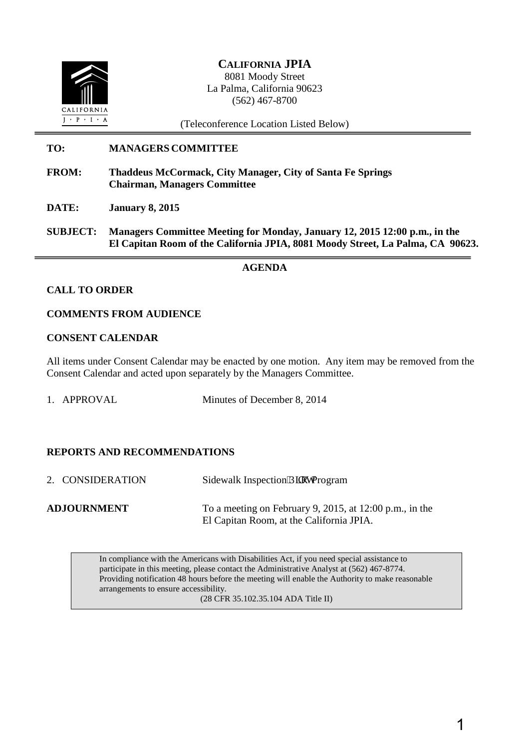

# **CALIFORNIA JPIA** 8081 Moody Street La Palma, California 90623 (562) 467-8700

(Teleconference Location Listed Below)

# **TO: MANAGERS COMMITTEE**

- **FROM: Thaddeus McCormack, City Manager, City of Santa Fe Springs Chairman, Managers Committee**
- **DATE: January 8, 2015**
- **SUBJECT: Managers Committee Meeting for Monday, January 12, 2015 12:00 p.m., in the El Capitan Room of the California JPIA, 8081 Moody Street, La Palma, CA 90623.**

#### **AGENDA**

#### **CALL TO ORDER**

#### **COMMENTS FROM AUDIENCE**

#### **CONSENT CALENDAR**

All items under Consent Calendar may be enacted by one motion. Any item may be removed from the Consent Calendar and acted upon separately by the Managers Committee.

1. APPROVAL Minutes of December 8, 2014

#### **REPORTS AND RECOMMENDATIONS**

2. CONSIDERATION Sidewalk Inspection'R kray Program **ADJOURNMENT** To a meeting on February 9, 2015, at 12:00 p.m., in the El Capitan Room, at the California JPIA.

> In compliance with the Americans with Disabilities Act, if you need special assistance to participate in this meeting, please contact the Administrative Analyst at (562) 467-8774. Providing notification 48 hours before the meeting will enable the Authority to make reasonable arrangements to ensure accessibility.

(28 CFR 35.102.35.104 ADA Title II)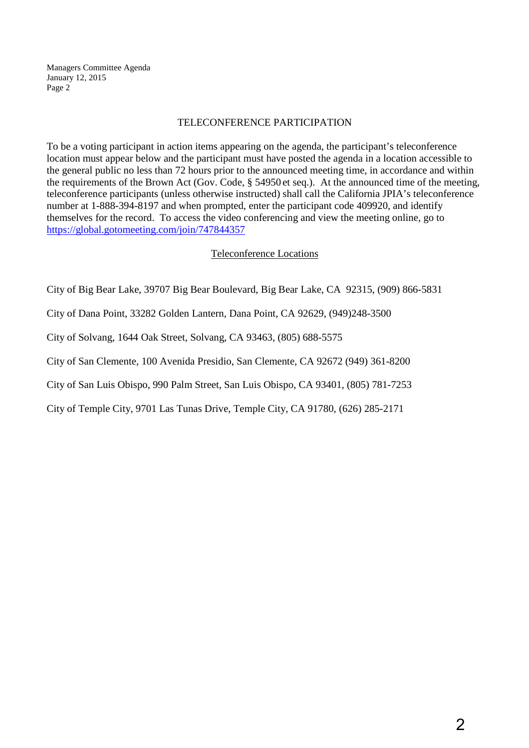Managers Committee Agenda January 12, 2015 Page 2

#### TELECONFERENCE PARTICIPATION

To be a voting participant in action items appearing on the agenda, the participant's teleconference location must appear below and the participant must have posted the agenda in a location accessible to the general public no less than 72 hours prior to the announced meeting time, in accordance and within the requirements of the Brown Act (Gov. Code, § 54950 et seq.). At the announced time of the meeting, teleconference participants (unless otherwise instructed) shall call the California JPIA's teleconference number at 1-888-394-8197 and when prompted, enter the participant code 409920, and identify themselves for the record. To access the video conferencing and view the meeting online, go to https://global.gotomeeting.com/join/747844357

## Teleconference Locations

City of Big Bear Lake, 39707 Big Bear Boulevard, Big Bear Lake, CA 92315, (909) 866-5831

City of Dana Point, 33282 Golden Lantern, Dana Point, CA 92629, (949)248-3500

City of Solvang, 1644 Oak Street, Solvang, CA 93463, (805) 688-5575

City of San Clemente, 100 Avenida Presidio, San Clemente, CA 92672 (949) 361-8200

City of San Luis Obispo, 990 Palm Street, San Luis Obispo, CA 93401, (805) 781-7253

City of Temple City, 9701 Las Tunas Drive, Temple City, CA 91780, (626) 285-2171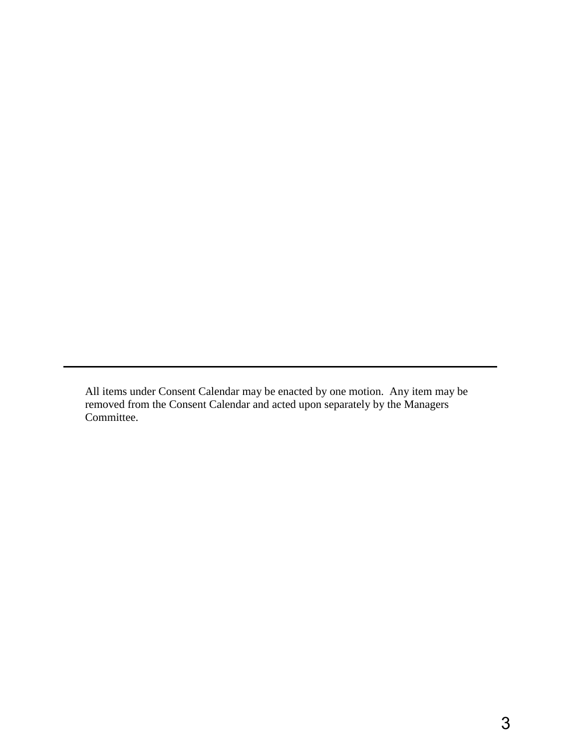All items under Consent Calendar may be enacted by one motion. Any item may be removed from the Consent Calendar and acted upon separately by the Managers Committee.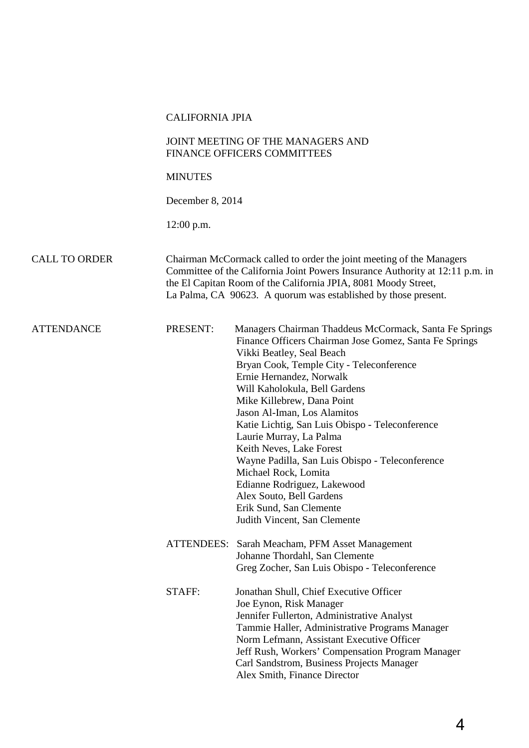#### CALIFORNIA JPIA

#### JOINT MEETING OF THE MANAGERS AND FINANCE OFFICERS COMMITTEES

#### **MINUTES**

December 8, 2014

12:00 p.m.

#### CALL TO ORDER Chairman McCormack called to order the joint meeting of the Managers Committee of the California Joint Powers Insurance Authority at 12:11 p.m. in the El Capitan Room of the California JPIA, 8081 Moody Street, La Palma, CA 90623. A quorum was established by those present.

ATTENDANCE PRESENT: Managers Chairman Thaddeus McCormack, Santa Fe Springs Finance Officers Chairman Jose Gomez, Santa Fe Springs Vikki Beatley, Seal Beach Bryan Cook, Temple City - Teleconference Ernie Hernandez, Norwalk Will Kaholokula, Bell Gardens Mike Killebrew, Dana Point Jason Al-Iman, Los Alamitos Katie Lichtig, San Luis Obispo - Teleconference Laurie Murray, La Palma Keith Neves, Lake Forest Wayne Padilla, San Luis Obispo - Teleconference Michael Rock, Lomita Edianne Rodriguez, Lakewood Alex Souto, Bell Gardens Erik Sund, San Clemente Judith Vincent, San Clemente ATTENDEES: Sarah Meacham, PFM Asset Management

- Johanne Thordahl, San Clemente Greg Zocher, San Luis Obispo - Teleconference
- STAFF: Jonathan Shull, Chief Executive Officer Joe Eynon, Risk Manager Jennifer Fullerton, Administrative Analyst Tammie Haller, Administrative Programs Manager Norm Lefmann, Assistant Executive Officer Jeff Rush, Workers' Compensation Program Manager Carl Sandstrom, Business Projects Manager Alex Smith, Finance Director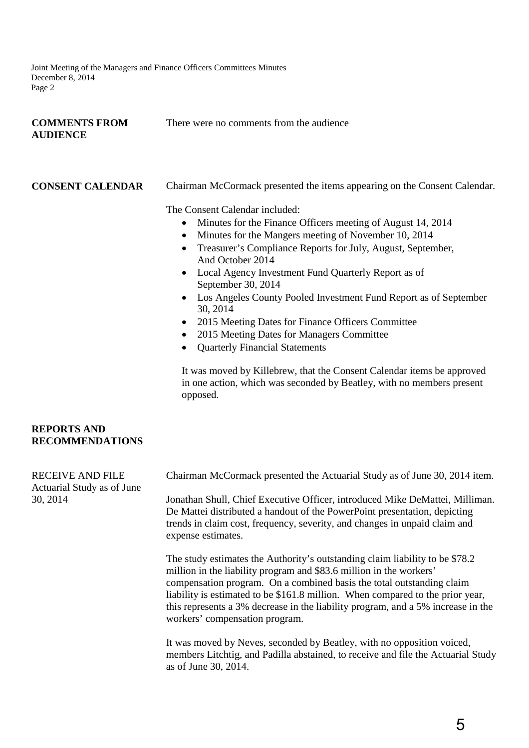Joint Meeting of the Managers and Finance Officers Committees Minutes December 8, 2014 Page 2

| <b>COMMENTS FROM</b> | There were no comments from the audience |
|----------------------|------------------------------------------|
| <b>AUDIENCE</b>      |                                          |

| <b>CONSENT CALENDAR</b>                      | Chairman McCormack presented the items appearing on the Consent Calendar.<br>The Consent Calendar included:<br>Minutes for the Finance Officers meeting of August 14, 2014<br>$\bullet$<br>Minutes for the Mangers meeting of November 10, 2014<br>Treasurer's Compliance Reports for July, August, September,<br>And October 2014<br>Local Agency Investment Fund Quarterly Report as of<br>$\bullet$<br>September 30, 2014<br>Los Angeles County Pooled Investment Fund Report as of September<br>$\bullet$<br>30, 2014<br>2015 Meeting Dates for Finance Officers Committee |
|----------------------------------------------|--------------------------------------------------------------------------------------------------------------------------------------------------------------------------------------------------------------------------------------------------------------------------------------------------------------------------------------------------------------------------------------------------------------------------------------------------------------------------------------------------------------------------------------------------------------------------------|
|                                              | 2015 Meeting Dates for Managers Committee<br><b>Quarterly Financial Statements</b><br>It was moved by Killebrew, that the Consent Calendar items be approved<br>in one action, which was seconded by Beatley, with no members present<br>opposed.                                                                                                                                                                                                                                                                                                                              |
| <b>REPORTS AND</b><br><b>RECOMMENDATIONS</b> |                                                                                                                                                                                                                                                                                                                                                                                                                                                                                                                                                                                |

RECEIVE AND FILE Actuarial Study as of June 30, 2014 Chairman McCormack presented the Actuarial Study as of June 30, 2014 item. Jonathan Shull, Chief Executive Officer, introduced Mike DeMattei, Milliman. De Mattei distributed a handout of the PowerPoint presentation, depicting trends in claim cost, frequency, severity, and changes in unpaid claim and expense estimates. The study estimates the Authority's outstanding claim liability to be \$78.2 million in the liability program and \$83.6 million in the workers' compensation program. On a combined basis the total outstanding claim liability is estimated to be \$161.8 million. When compared to the prior year, this represents a 3% decrease in the liability program, and a 5% increase in the workers' compensation program. It was moved by Neves, seconded by Beatley, with no opposition voiced, members Litchtig, and Padilla abstained, to receive and file the Actuarial Study

as of June 30, 2014.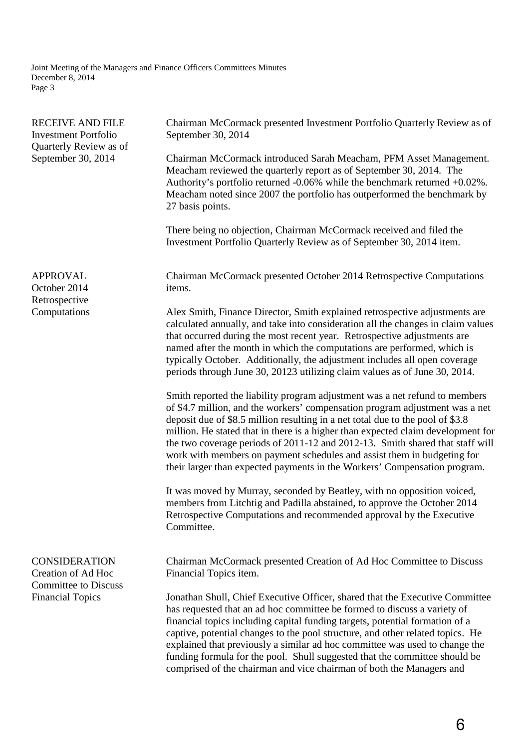Joint Meeting of the Managers and Finance Officers Committees Minutes December 8, 2014 Page 3

| <b>RECEIVE AND FILE</b><br><b>Investment Portfolio</b><br>Quarterly Review as of<br>September 30, 2014 | Chairman McCormack presented Investment Portfolio Quarterly Review as of<br>September 30, 2014                                                                                                                                                                                                                                                                                                                                                                                                                                                                             |  |  |
|--------------------------------------------------------------------------------------------------------|----------------------------------------------------------------------------------------------------------------------------------------------------------------------------------------------------------------------------------------------------------------------------------------------------------------------------------------------------------------------------------------------------------------------------------------------------------------------------------------------------------------------------------------------------------------------------|--|--|
|                                                                                                        | Chairman McCormack introduced Sarah Meacham, PFM Asset Management.<br>Meacham reviewed the quarterly report as of September 30, 2014. The<br>Authority's portfolio returned $-0.06\%$ while the benchmark returned $+0.02\%$ .<br>Meacham noted since 2007 the portfolio has outperformed the benchmark by<br>27 basis points.                                                                                                                                                                                                                                             |  |  |
|                                                                                                        | There being no objection, Chairman McCormack received and filed the<br>Investment Portfolio Quarterly Review as of September 30, 2014 item.                                                                                                                                                                                                                                                                                                                                                                                                                                |  |  |
| <b>APPROVAL</b><br>October 2014<br>Retrospective<br>Computations                                       | Chairman McCormack presented October 2014 Retrospective Computations<br>items.                                                                                                                                                                                                                                                                                                                                                                                                                                                                                             |  |  |
|                                                                                                        | Alex Smith, Finance Director, Smith explained retrospective adjustments are<br>calculated annually, and take into consideration all the changes in claim values<br>that occurred during the most recent year. Retrospective adjustments are<br>named after the month in which the computations are performed, which is<br>typically October. Additionally, the adjustment includes all open coverage<br>periods through June 30, 20123 utilizing claim values as of June 30, 2014.                                                                                         |  |  |
|                                                                                                        | Smith reported the liability program adjustment was a net refund to members<br>of \$4.7 million, and the workers' compensation program adjustment was a net<br>deposit due of \$8.5 million resulting in a net total due to the pool of \$3.8<br>million. He stated that in there is a higher than expected claim development for<br>the two coverage periods of 2011-12 and 2012-13. Smith shared that staff will<br>work with members on payment schedules and assist them in budgeting for<br>their larger than expected payments in the Workers' Compensation program. |  |  |
|                                                                                                        | It was moved by Murray, seconded by Beatley, with no opposition voiced,<br>members from Litchtig and Padilla abstained, to approve the October 2014<br>Retrospective Computations and recommended approval by the Executive<br>Committee.                                                                                                                                                                                                                                                                                                                                  |  |  |
| <b>CONSIDERATION</b><br>Creation of Ad Hoc<br><b>Committee to Discuss</b>                              | Chairman McCormack presented Creation of Ad Hoc Committee to Discuss<br>Financial Topics item.                                                                                                                                                                                                                                                                                                                                                                                                                                                                             |  |  |
| <b>Financial Topics</b>                                                                                | Jonathan Shull, Chief Executive Officer, shared that the Executive Committee<br>has requested that an ad hoc committee be formed to discuss a variety of<br>financial topics including capital funding targets, potential formation of a<br>captive, potential changes to the pool structure, and other related topics. He<br>explained that previously a similar ad hoc committee was used to change the<br>funding formula for the pool. Shull suggested that the committee should be<br>comprised of the chairman and vice chairman of both the Managers and            |  |  |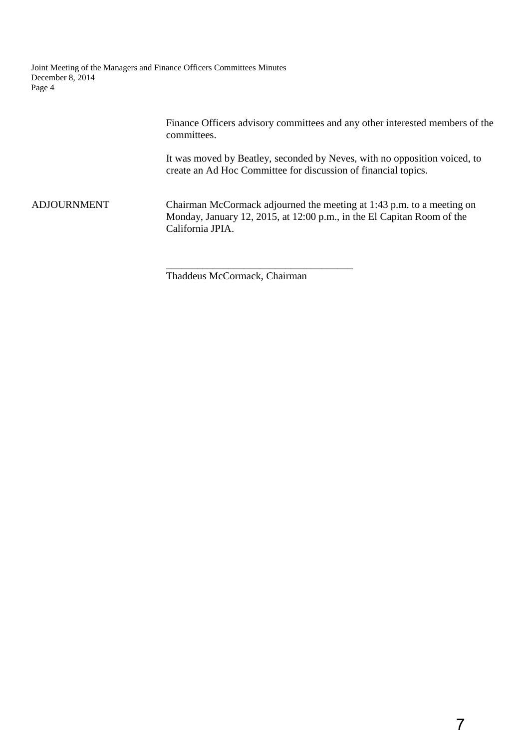Joint Meeting of the Managers and Finance Officers Committees Minutes December 8, 2014 Page 4

> Finance Officers advisory committees and any other interested members of the committees.

It was moved by Beatley, seconded by Neves, with no opposition voiced, to create an Ad Hoc Committee for discussion of financial topics.

ADJOURNMENT Chairman McCormack adjourned the meeting at 1:43 p.m. to a meeting on Monday, January 12, 2015, at 12:00 p.m., in the El Capitan Room of the California JPIA.

\_\_\_\_\_\_\_\_\_\_\_\_\_\_\_\_\_\_\_\_\_\_\_\_\_\_\_\_\_\_\_\_\_\_\_\_

Thaddeus McCormack, Chairman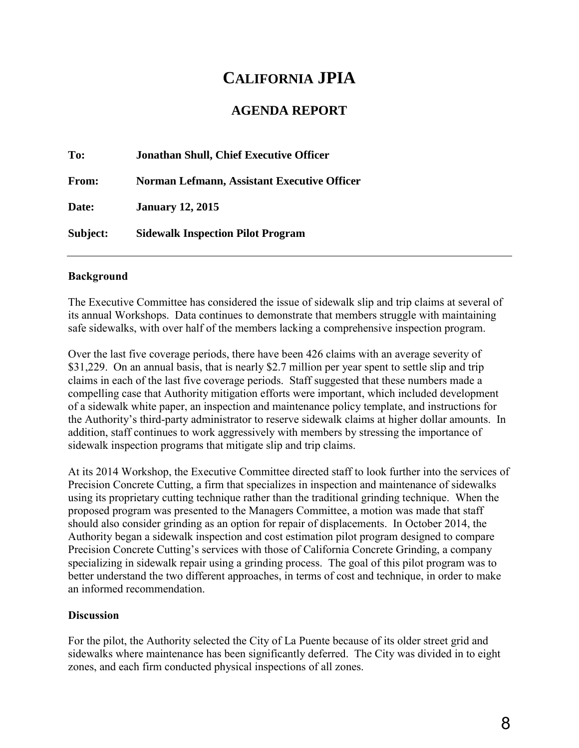# **CALIFORNIA JPIA**

# **AGENDA REPORT**

| To:      | <b>Jonathan Shull, Chief Executive Officer</b> |  |
|----------|------------------------------------------------|--|
| From:    | Norman Lefmann, Assistant Executive Officer    |  |
| Date:    | <b>January 12, 2015</b>                        |  |
| Subject: | <b>Sidewalk Inspection Pilot Program</b>       |  |

## **Background**

The Executive Committee has considered the issue of sidewalk slip and trip claims at several of its annual Workshops. Data continues to demonstrate that members struggle with maintaining safe sidewalks, with over half of the members lacking a comprehensive inspection program.

Over the last five coverage periods, there have been 426 claims with an average severity of \$31,229. On an annual basis, that is nearly \$2.7 million per year spent to settle slip and trip claims in each of the last five coverage periods. Staff suggested that these numbers made a compelling case that Authority mitigation efforts were important, which included development of a sidewalk white paper, an inspection and maintenance policy template, and instructions for the Authority's third-party administrator to reserve sidewalk claims at higher dollar amounts. In addition, staff continues to work aggressively with members by stressing the importance of sidewalk inspection programs that mitigate slip and trip claims.

At its 2014 Workshop, the Executive Committee directed staff to look further into the services of Precision Concrete Cutting, a firm that specializes in inspection and maintenance of sidewalks using its proprietary cutting technique rather than the traditional grinding technique. When the proposed program was presented to the Managers Committee, a motion was made that staff should also consider grinding as an option for repair of displacements. In October 2014, the Authority began a sidewalk inspection and cost estimation pilot program designed to compare Precision Concrete Cutting's services with those of California Concrete Grinding, a company specializing in sidewalk repair using a grinding process. The goal of this pilot program was to better understand the two different approaches, in terms of cost and technique, in order to make an informed recommendation.

# **Discussion**

For the pilot, the Authority selected the City of La Puente because of its older street grid and sidewalks where maintenance has been significantly deferred. The City was divided in to eight zones, and each firm conducted physical inspections of all zones.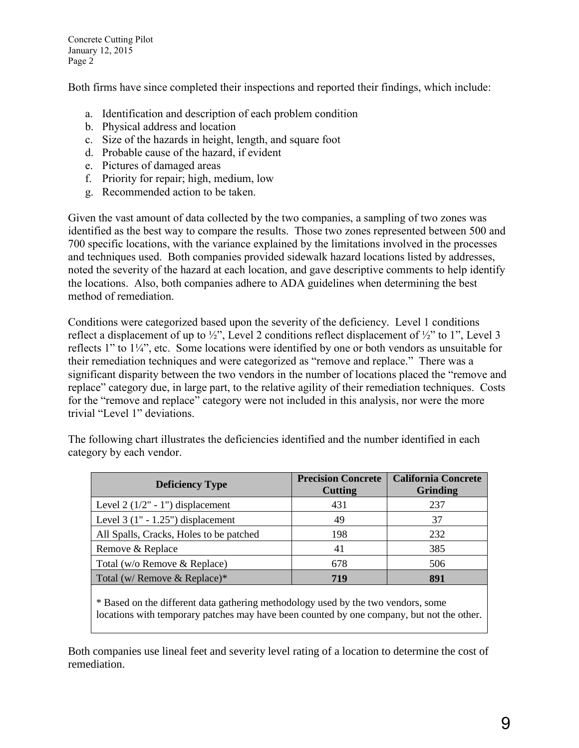Concrete Cutting Pilot January 12, 2015 Page 2

Both firms have since completed their inspections and reported their findings, which include:

- a. Identification and description of each problem condition
- b. Physical address and location
- c. Size of the hazards in height, length, and square foot
- d. Probable cause of the hazard, if evident
- e. Pictures of damaged areas
- f. Priority for repair; high, medium, low
- g. Recommended action to be taken.

Given the vast amount of data collected by the two companies, a sampling of two zones was identified as the best way to compare the results. Those two zones represented between 500 and 700 specific locations, with the variance explained by the limitations involved in the processes and techniques used. Both companies provided sidewalk hazard locations listed by addresses, noted the severity of the hazard at each location, and gave descriptive comments to help identify the locations. Also, both companies adhere to ADA guidelines when determining the best method of remediation.

Conditions were categorized based upon the severity of the deficiency. Level 1 conditions reflect a displacement of up to  $\frac{1}{2}$ , Level 2 conditions reflect displacement of  $\frac{1}{2}$  to 1", Level 3 reflects 1" to 1¼", etc. Some locations were identified by one or both vendors as unsuitable for their remediation techniques and were categorized as "remove and replace." There was a significant disparity between the two vendors in the number of locations placed the "remove and replace" category due, in large part, to the relative agility of their remediation techniques. Costs for the "remove and replace" category were not included in this analysis, nor were the more trivial "Level 1" deviations.

| <b>Deficiency Type</b>                  | <b>Precision Concrete</b><br><b>Cutting</b> | <b>California Concrete</b><br><b>Grinding</b> |
|-----------------------------------------|---------------------------------------------|-----------------------------------------------|
| Level $2(1/2" - 1")$ displacement       | 431                                         | 237                                           |
| Level $3(1" - 1.25")$ displacement      | 49                                          | 37                                            |
| All Spalls, Cracks, Holes to be patched | 198                                         | 232                                           |
| Remove & Replace                        | 41                                          | 385                                           |
| Total (w/o Remove & Replace)            | 678                                         | 506                                           |
| Total (w/ Remove & Replace)*            | 719                                         | 891                                           |

The following chart illustrates the deficiencies identified and the number identified in each category by each vendor.

\* Based on the different data gathering methodology used by the two vendors, some locations with temporary patches may have been counted by one company, but not the other.

Both companies use lineal feet and severity level rating of a location to determine the cost of remediation.